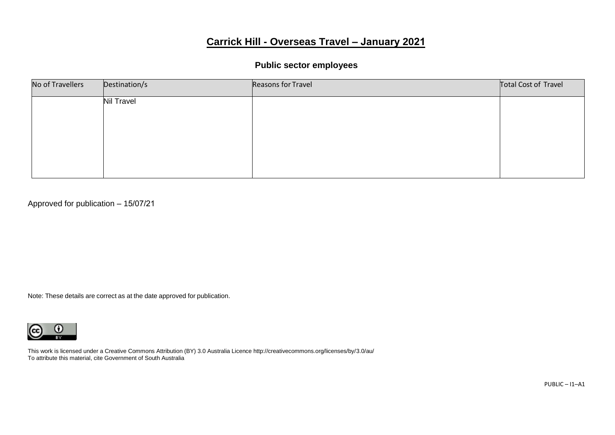# **Carrick Hill - Overseas Travel – January 2021**

# **Public sector employees**

| No of Travellers | Destination/s     | Reasons for Travel | Total Cost of Travel |
|------------------|-------------------|--------------------|----------------------|
|                  | <b>Nil Travel</b> |                    |                      |
|                  |                   |                    |                      |
|                  |                   |                    |                      |
|                  |                   |                    |                      |
|                  |                   |                    |                      |

Approved for publication – 15/07/21

Note: These details are correct as at the date approved for publication.

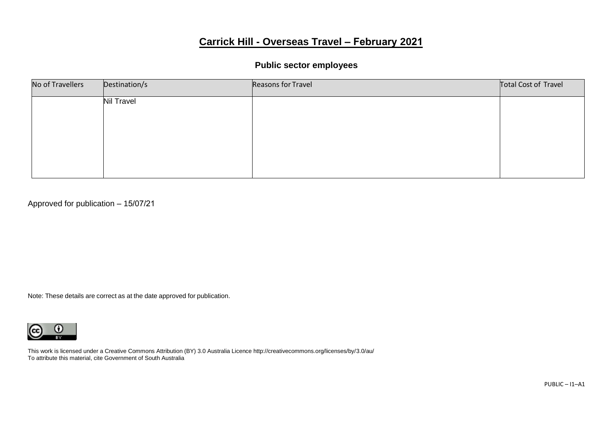# **Carrick Hill - Overseas Travel – February 2021**

### **Public sector employees**

| No of Travellers | Destination/s     | Reasons for Travel | Total Cost of Travel |
|------------------|-------------------|--------------------|----------------------|
|                  | <b>Nil Travel</b> |                    |                      |
|                  |                   |                    |                      |
|                  |                   |                    |                      |
|                  |                   |                    |                      |
|                  |                   |                    |                      |

Approved for publication – 15/07/21

Note: These details are correct as at the date approved for publication.

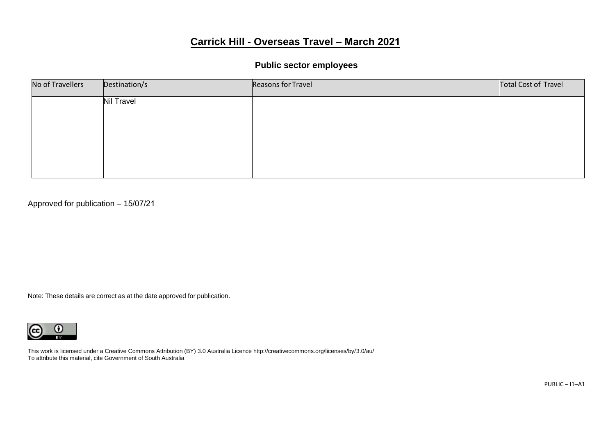# **Carrick Hill - Overseas Travel – March 2021**

### **Public sector employees**

| No of Travellers | Destination/s     | Reasons for Travel | Total Cost of Travel |
|------------------|-------------------|--------------------|----------------------|
|                  | <b>Nil Travel</b> |                    |                      |
|                  |                   |                    |                      |
|                  |                   |                    |                      |
|                  |                   |                    |                      |
|                  |                   |                    |                      |

Approved for publication – 15/07/21

Note: These details are correct as at the date approved for publication.

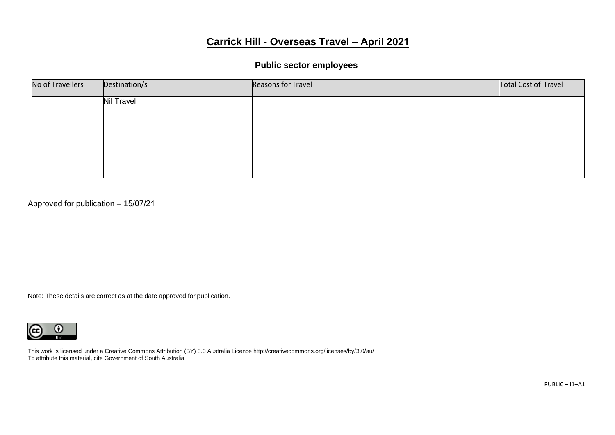# **Carrick Hill - Overseas Travel – April 2021**

# **Public sector employees**

| No of Travellers | Destination/s | Reasons for Travel | Total Cost of Travel |
|------------------|---------------|--------------------|----------------------|
|                  | Nil Travel    |                    |                      |
|                  |               |                    |                      |
|                  |               |                    |                      |
|                  |               |                    |                      |
|                  |               |                    |                      |

Approved for publication – 15/07/21

Note: These details are correct as at the date approved for publication.

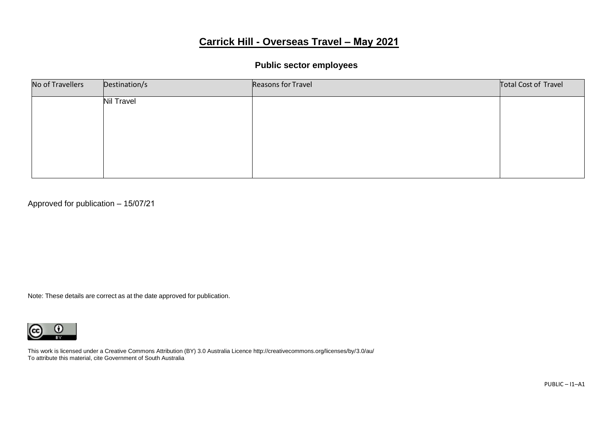# **Carrick Hill - Overseas Travel – May 2021**

### **Public sector employees**

| No of Travellers | Destination/s     | Reasons for Travel | Total Cost of Travel |
|------------------|-------------------|--------------------|----------------------|
|                  | <b>Nil Travel</b> |                    |                      |
|                  |                   |                    |                      |
|                  |                   |                    |                      |
|                  |                   |                    |                      |
|                  |                   |                    |                      |

Approved for publication – 15/07/21

Note: These details are correct as at the date approved for publication.